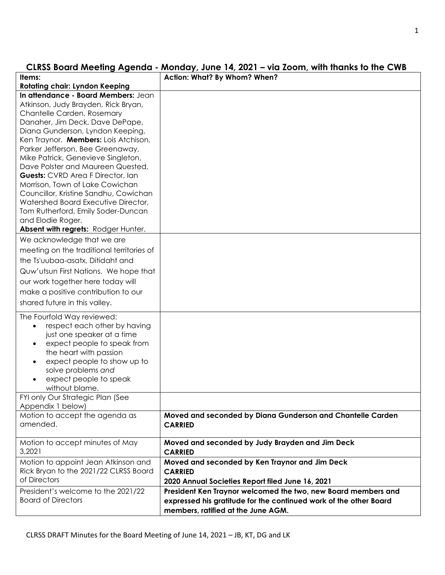# **CLRSS Board Meeting Agenda - Monday, June 14, 2021 – via Zoom, with thanks to the CWB**

| Items:                                                                                                                                                                                                                                                                                                                                                                                                                                                                                                                                                                                                  | Action: What? By Whom? When?                                                                                                                                             |
|---------------------------------------------------------------------------------------------------------------------------------------------------------------------------------------------------------------------------------------------------------------------------------------------------------------------------------------------------------------------------------------------------------------------------------------------------------------------------------------------------------------------------------------------------------------------------------------------------------|--------------------------------------------------------------------------------------------------------------------------------------------------------------------------|
| <b>Rotating chair: Lyndon Keeping</b>                                                                                                                                                                                                                                                                                                                                                                                                                                                                                                                                                                   |                                                                                                                                                                          |
| In attendance - Board Members: Jean<br>Atkinson, Judy Brayden, Rick Bryan,<br>Chantelle Carden, Rosemary<br>Danaher, Jim Deck, Dave DePape,<br>Diana Gunderson, Lyndon Keeping,<br>Ken Traynor. Members: Lois Atchison,<br>Parker Jefferson, Bee Greenaway,<br>Mike Patrick, Genevieve Singleton,<br>Dave Polster and Maureen Quested,<br><b>Guests:</b> CVRD Area F Director, Ian<br>Morrison, Town of Lake Cowichan<br>Councillor, Kristine Sandhu, Cowichan<br>Watershed Board Executive Director,<br>Tom Rutherford, Emily Soder-Duncan<br>and Elodie Roger.<br>Absent with regrets: Rodger Hunter. |                                                                                                                                                                          |
|                                                                                                                                                                                                                                                                                                                                                                                                                                                                                                                                                                                                         |                                                                                                                                                                          |
| We acknowledge that we are<br>meeting on the traditional territories of<br>the Ts'uubaa-asatx, Ditidaht and<br>Quw'utsun First Nations. We hope that<br>our work together here today will<br>make a positive contribution to our<br>shared future in this valley.                                                                                                                                                                                                                                                                                                                                       |                                                                                                                                                                          |
| The Fourfold Way reviewed:<br>respect each other by having<br>$\bullet$<br>just one speaker at a time<br>expect people to speak from<br>$\bullet$<br>the heart with passion<br>expect people to show up to<br>$\bullet$<br>solve problems and<br>expect people to speak<br>$\bullet$<br>without blame.                                                                                                                                                                                                                                                                                                  |                                                                                                                                                                          |
| FYI only Our Strategic Plan (See<br>Appendix 1 below)                                                                                                                                                                                                                                                                                                                                                                                                                                                                                                                                                   |                                                                                                                                                                          |
| Motion to accept the agenda as<br>amended.                                                                                                                                                                                                                                                                                                                                                                                                                                                                                                                                                              | Moved and seconded by Diana Gunderson and Chantelle Carden<br><b>CARRIED</b>                                                                                             |
| Motion to accept minutes of May<br>3,2021                                                                                                                                                                                                                                                                                                                                                                                                                                                                                                                                                               | Moved and seconded by Judy Brayden and Jim Deck<br><b>CARRIED</b>                                                                                                        |
| Motion to appoint Jean Atkinson and<br>Rick Bryan to the 2021/22 CLRSS Board<br>of Directors                                                                                                                                                                                                                                                                                                                                                                                                                                                                                                            | Moved and seconded by Ken Traynor and Jim Deck<br><b>CARRIED</b><br>2020 Annual Societies Report filed June 16, 2021                                                     |
| President's welcome to the 2021/22<br><b>Board of Directors</b>                                                                                                                                                                                                                                                                                                                                                                                                                                                                                                                                         | President Ken Traynor welcomed the two, new Board members and<br>expressed his gratitude for the continued work of the other Board<br>members, ratified at the June AGM. |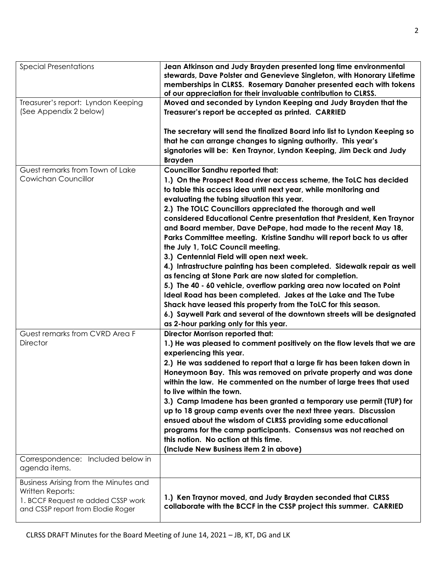| <b>Special Presentations</b>                                                                                                         | Jean Atkinson and Judy Brayden presented long time environmental<br>stewards, Dave Polster and Genevieve Singleton, with Honorary Lifetime<br>memberships in CLRSS. Rosemary Danaher presented each with tokens<br>of our appreciation for their invaluable contribution to CLRSS.                                                                                                                                                                                                                                                                                                                                                                                                                                                                                                                                                                                                                                                                                                                                                                                     |
|--------------------------------------------------------------------------------------------------------------------------------------|------------------------------------------------------------------------------------------------------------------------------------------------------------------------------------------------------------------------------------------------------------------------------------------------------------------------------------------------------------------------------------------------------------------------------------------------------------------------------------------------------------------------------------------------------------------------------------------------------------------------------------------------------------------------------------------------------------------------------------------------------------------------------------------------------------------------------------------------------------------------------------------------------------------------------------------------------------------------------------------------------------------------------------------------------------------------|
| Treasurer's report: Lyndon Keeping<br>(See Appendix 2 below)                                                                         | Moved and seconded by Lyndon Keeping and Judy Brayden that the<br>Treasurer's report be accepted as printed. CARRIED                                                                                                                                                                                                                                                                                                                                                                                                                                                                                                                                                                                                                                                                                                                                                                                                                                                                                                                                                   |
|                                                                                                                                      | The secretary will send the finalized Board info list to Lyndon Keeping so<br>that he can arrange changes to signing authority. This year's<br>signatories will be: Ken Traynor, Lyndon Keeping, Jim Deck and Judy<br><b>Brayden</b>                                                                                                                                                                                                                                                                                                                                                                                                                                                                                                                                                                                                                                                                                                                                                                                                                                   |
| Guest remarks from Town of Lake<br>Cowichan Councillor                                                                               | <b>Councillor Sandhu reported that:</b><br>1.) On the Prospect Road river access scheme, the ToLC has decided<br>to table this access idea until next year, while monitoring and<br>evaluating the tubing situation this year.<br>2.) The TOLC Councillors appreciated the thorough and well<br>considered Educational Centre presentation that President, Ken Traynor<br>and Board member, Dave DePape, had made to the recent May 18,<br>Parks Committee meeting. Kristine Sandhu will report back to us after<br>the July 1, ToLC Council meeting.<br>3.) Centennial Field will open next week.<br>4.) Infrastructure painting has been completed. Sidewalk repair as well<br>as fencing at Stone Park are now slated for completion.<br>5.) The 40 - 60 vehicle, overflow parking area now located on Point<br>Ideal Road has been completed. Jakes at the Lake and The Tube<br>Shack have leased this property from the ToLC for this season.<br>6.) Saywell Park and several of the downtown streets will be designated<br>as 2-hour parking only for this year. |
| Guest remarks from CVRD Area F<br><b>Director</b>                                                                                    | <b>Director Morrison reported that:</b><br>1.) He was pleased to comment positively on the flow levels that we are<br>experiencing this year.<br>2.) He was saddened to report that a large fir has been taken down in<br>Honeymoon Bay. This was removed on private property and was done<br>within the law. He commented on the number of large trees that used<br>to live within the town.<br>3.) Camp Imadene has been granted a temporary use permit (TUP) for<br>up to 18 group camp events over the next three years. Discussion<br>ensued about the wisdom of CLRSS providing some educational<br>programs for the camp participants. Consensus was not reached on<br>this notion. No action at this time.<br>(Include New Business item 2 in above)                                                                                                                                                                                                                                                                                                           |
| Correspondence: Included below in<br>agenda items.                                                                                   |                                                                                                                                                                                                                                                                                                                                                                                                                                                                                                                                                                                                                                                                                                                                                                                                                                                                                                                                                                                                                                                                        |
| Business Arising from the Minutes and<br>Written Reports:<br>1. BCCF Request re added CSSP work<br>and CSSP report from Elodie Roger | 1.) Ken Traynor moved, and Judy Brayden seconded that CLRSS<br>collaborate with the BCCF in the CSSP project this summer. CARRIED                                                                                                                                                                                                                                                                                                                                                                                                                                                                                                                                                                                                                                                                                                                                                                                                                                                                                                                                      |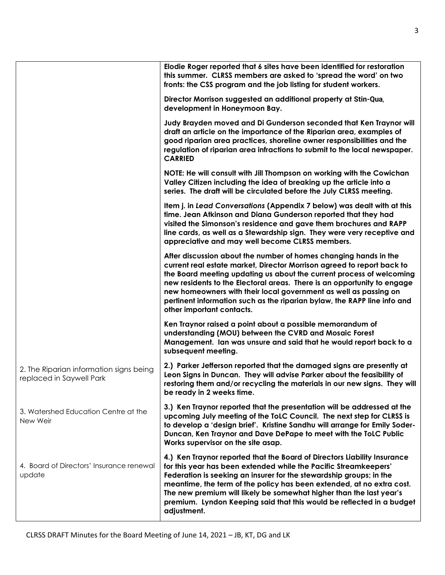|                                                                     | Elodie Roger reported that 6 sites have been identified for restoration<br>this summer. CLRSS members are asked to 'spread the word' on two<br>fronts: the CSS program and the job listing for student workers.                                                                                                                                                                                                                                                            |
|---------------------------------------------------------------------|----------------------------------------------------------------------------------------------------------------------------------------------------------------------------------------------------------------------------------------------------------------------------------------------------------------------------------------------------------------------------------------------------------------------------------------------------------------------------|
|                                                                     | Director Morrison suggested an additional property at Stin-Qua,<br>development in Honeymoon Bay.                                                                                                                                                                                                                                                                                                                                                                           |
|                                                                     | Judy Brayden moved and Di Gunderson seconded that Ken Traynor will<br>draft an article on the importance of the Riparian area, examples of<br>good riparian area practices, shoreline owner responsibilities and the<br>regulation of riparian area infractions to submit to the local newspaper.<br><b>CARRIED</b>                                                                                                                                                        |
|                                                                     | NOTE: He will consult with Jill Thompson on working with the Cowichan<br>Valley Citizen including the idea of breaking up the article into a<br>series. The draft will be circulated before the July CLRSS meeting.                                                                                                                                                                                                                                                        |
|                                                                     | Item j. in Lead Conversations (Appendix 7 below) was dealt with at this<br>time. Jean Atkinson and Diana Gunderson reported that they had<br>visited the Simonson's residence and gave them brochures and RAPP<br>line cards, as well as a Stewardship sign. They were very receptive and<br>appreciative and may well become CLRSS members.                                                                                                                               |
|                                                                     | After discussion about the number of homes changing hands in the<br>current real estate market, Director Morrison agreed to report back to<br>the Board meeting updating us about the current process of welcoming<br>new residents to the Electoral areas. There is an opportunity to engage<br>new homeowners with their local government as well as passing on<br>pertinent information such as the riparian bylaw, the RAPP line info and<br>other important contacts. |
|                                                                     | Ken Traynor raised a point about a possible memorandum of<br>understanding (MOU) between the CVRD and Mosaic Forest<br>Management. Ian was unsure and said that he would report back to a<br>subsequent meeting.                                                                                                                                                                                                                                                           |
| 2. The Riparian information signs being<br>replaced in Saywell Park | 2.) Parker Jefferson reported that the damaged signs are presently at<br>Leon Signs in Duncan. They will advise Parker about the feasibility of<br>restoring them and/or recycling the materials in our new signs. They will<br>be ready in 2 weeks time.                                                                                                                                                                                                                  |
| 3. Watershed Education Centre at the<br>New Weir                    | 3.) Ken Traynor reported that the presentation will be addressed at the<br>upcoming July meeting of the ToLC Council. The next step for CLRSS is<br>to develop a 'design brief'. Kristine Sandhu will arrange for Emily Soder-<br>Duncan, Ken Traynor and Dave DePape to meet with the ToLC Public<br>Works supervisor on the site asap.                                                                                                                                   |
| 4. Board of Directors' Insurance renewal<br>update                  | 4.) Ken Traynor reported that the Board of Directors Liability Insurance<br>for this year has been extended while the Pacific Streamkeepers'<br>Federation is seeking an insurer for the stewardship groups; in the<br>meantime, the term of the policy has been extended, at no extra cost.<br>The new premium will likely be somewhat higher than the last year's<br>premium. Lyndon Keeping said that this would be reflected in a budget<br>adjustment.                |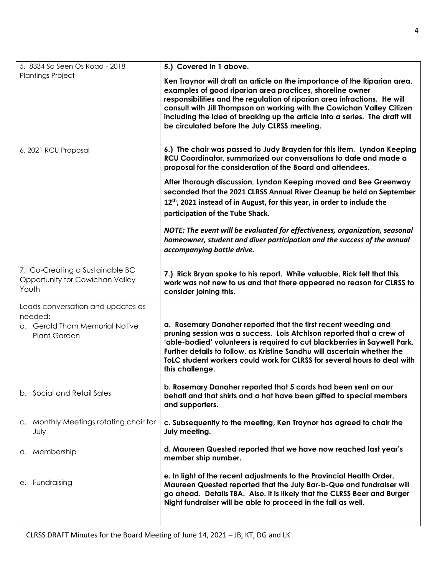4

| 5. 8334 Sa Seen Os Road - 2018         | 5.) Covered in 1 above.                                                              |
|----------------------------------------|--------------------------------------------------------------------------------------|
| <b>Plantings Project</b>               |                                                                                      |
|                                        | Ken Traynor will draft an article on the importance of the Riparian area,            |
|                                        | examples of good riparian area practices, shoreline owner                            |
|                                        | responsibilities and the regulation of riparian area infractions. He will            |
|                                        | consult with Jill Thompson on working with the Cowichan Valley Citizen               |
|                                        | including the idea of breaking up the article into a series. The draft will          |
|                                        | be circulated before the July CLRSS meeting.                                         |
|                                        |                                                                                      |
|                                        | 6.) The chair was passed to Judy Brayden for this item. Lyndon Keeping               |
| 6. 2021 RCU Proposal                   | RCU Coordinator, summarized our conversations to date and made a                     |
|                                        |                                                                                      |
|                                        | proposal for the consideration of the Board and attendees.                           |
|                                        | After thorough discussion, Lyndon Keeping moved and Bee Greenway                     |
|                                        | seconded that the 2021 CLRSS Annual River Cleanup be held on September               |
|                                        | 12 <sup>th</sup> , 2021 instead of in August, for this year, in order to include the |
|                                        |                                                                                      |
|                                        | participation of the Tube Shack.                                                     |
|                                        | NOTE: The event will be evaluated for effectiveness, organization, seasonal          |
|                                        | homeowner, student and diver participation and the success of the annual             |
|                                        | accompanying bottle drive.                                                           |
|                                        |                                                                                      |
| 7. Co-Creating a Sustainable BC        |                                                                                      |
| Opportunity for Cowichan Valley        | 7.) Rick Bryan spoke to his report. While valuable, Rick felt that this              |
| Youth                                  | work was not new to us and that there appeared no reason for CLRSS to                |
|                                        | consider joining this.                                                               |
| Leads conversation and updates as      |                                                                                      |
| needed:                                |                                                                                      |
| a. Gerald Thom Memorial Native         | a. Rosemary Danaher reported that the first recent weeding and                       |
| <b>Plant Garden</b>                    | pruning session was a success. Lois Atchison reported that a crew of                 |
|                                        | 'able-bodied' volunteers is required to cut blackberries in Saywell Park.            |
|                                        | Further details to follow, as Kristine Sandhu will ascertain whether the             |
|                                        |                                                                                      |
|                                        | ToLC student workers could work for CLRSS for several hours to deal with             |
|                                        | this challenge.                                                                      |
|                                        |                                                                                      |
|                                        | b. Rosemary Danaher reported that 5 cards had been sent on our                       |
| b. Social and Retail Sales             | behalf and that shirts and a hat have been gifted to special members                 |
|                                        | and supporters.                                                                      |
|                                        |                                                                                      |
| c. Monthly Meetings rotating chair for | c. Subsequently to the meeting, Ken Traynor has agreed to chair the                  |
| July                                   | July meeting.                                                                        |
|                                        |                                                                                      |
| d. Membership                          | d. Maureen Quested reported that we have now reached last year's                     |
|                                        | member ship number.                                                                  |
|                                        | e. In light of the recent adjustments to the Provincial Health Order,                |
| e. Fundraising                         | Maureen Quested reported that the July Bar-b-Que and fundraiser will                 |
|                                        | go ahead. Details TBA. Also. it is likely that the CLRSS Beer and Burger             |
|                                        | Night fundraiser will be able to proceed in the fall as well.                        |
|                                        |                                                                                      |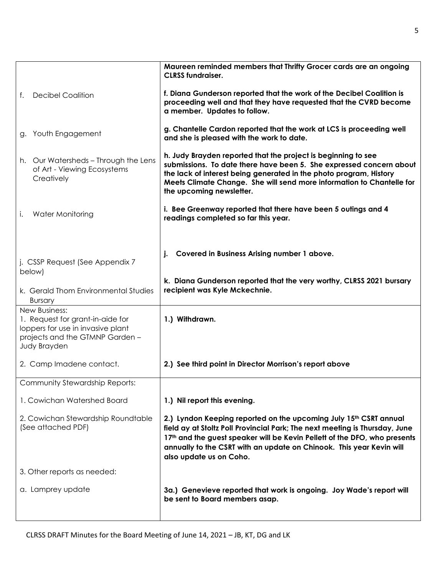|                                                                                                                                           | Maureen reminded members that Thrifty Grocer cards are an ongoing<br><b>CLRSS fundraiser.</b>                                                                                                                                                                                                                                    |
|-------------------------------------------------------------------------------------------------------------------------------------------|----------------------------------------------------------------------------------------------------------------------------------------------------------------------------------------------------------------------------------------------------------------------------------------------------------------------------------|
| <b>Decibel Coalition</b><br>f.                                                                                                            | f. Diana Gunderson reported that the work of the Decibel Coalition is<br>proceeding well and that they have requested that the CVRD become<br>a member. Updates to follow.                                                                                                                                                       |
| Youth Engagement<br>g.                                                                                                                    | g. Chantelle Cardon reported that the work at LCS is proceeding well<br>and she is pleased with the work to date.                                                                                                                                                                                                                |
| h. Our Watersheds - Through the Lens<br>of Art - Viewing Ecosystems<br>Creatively                                                         | h. Judy Brayden reported that the project is beginning to see<br>submissions. To date there have been 5. She expressed concern about<br>the lack of interest being generated in the photo program, History<br>Meets Climate Change. She will send more information to Chantelle for<br>the upcoming newsletter.                  |
| Water Monitoring<br>i.                                                                                                                    | i. Bee Greenway reported that there have been 5 outings and 4<br>readings completed so far this year.                                                                                                                                                                                                                            |
| j. CSSP Request (See Appendix 7<br>below)                                                                                                 | Covered in Business Arising number 1 above.<br>j.                                                                                                                                                                                                                                                                                |
| k. Gerald Thom Environmental Studies<br><b>Bursary</b>                                                                                    | k. Diana Gunderson reported that the very worthy, CLRSS 2021 bursary<br>recipient was Kyle Mckechnie.                                                                                                                                                                                                                            |
| New Business:<br>1. Request for grant-in-aide for<br>loppers for use in invasive plant<br>projects and the GTMNP Garden -<br>Judy Brayden | 1.) Withdrawn.                                                                                                                                                                                                                                                                                                                   |
| 2. Camp Imadene contact.                                                                                                                  | 2.) See third point in Director Morrison's report above                                                                                                                                                                                                                                                                          |
| Community Stewardship Reports:                                                                                                            |                                                                                                                                                                                                                                                                                                                                  |
| 1. Cowichan Watershed Board                                                                                                               | 1.) Nil report this evening.                                                                                                                                                                                                                                                                                                     |
| 2. Cowichan Stewardship Roundtable<br>(See attached PDF)                                                                                  | 2.) Lyndon Keeping reported on the upcoming July 15th CSRT annual<br>field ay at Stoltz Poll Provincial Park; The next meeting is Thursday, June<br>17th and the guest speaker will be Kevin Pellett of the DFO, who presents<br>annually to the CSRT with an update on Chinook. This year Kevin will<br>also update us on Coho. |
| 3. Other reports as needed:                                                                                                               |                                                                                                                                                                                                                                                                                                                                  |
| a. Lamprey update                                                                                                                         | 3a.) Genevieve reported that work is ongoing. Joy Wade's report will<br>be sent to Board members asap.                                                                                                                                                                                                                           |
|                                                                                                                                           |                                                                                                                                                                                                                                                                                                                                  |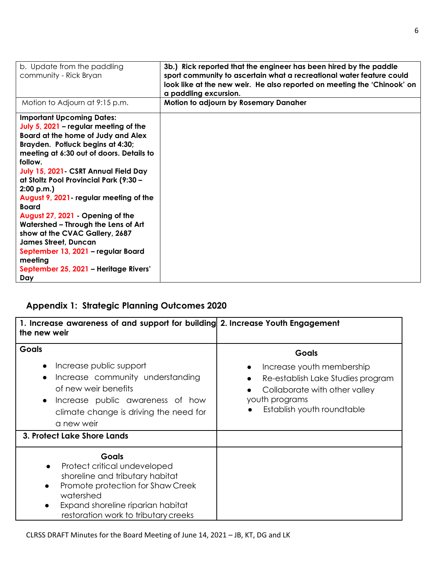| b. Update from the paddling<br>community - Rick Bryan                                                                                                                                                                                                                                                                                                                                                                                                                                                                                                                                                              | 3b.) Rick reported that the engineer has been hired by the paddle<br>sport community to ascertain what a recreational water feature could<br>look like at the new weir. He also reported on meeting the 'Chinook' on<br>a paddling excursion. |
|--------------------------------------------------------------------------------------------------------------------------------------------------------------------------------------------------------------------------------------------------------------------------------------------------------------------------------------------------------------------------------------------------------------------------------------------------------------------------------------------------------------------------------------------------------------------------------------------------------------------|-----------------------------------------------------------------------------------------------------------------------------------------------------------------------------------------------------------------------------------------------|
| Motion to Adjourn at 9:15 p.m.                                                                                                                                                                                                                                                                                                                                                                                                                                                                                                                                                                                     | Motion to adjourn by Rosemary Danaher                                                                                                                                                                                                         |
| <b>Important Upcoming Dates:</b><br>July 5, 2021 - regular meeting of the<br>Board at the home of Judy and Alex<br>Brayden. Potluck begins at 4:30;<br>meeting at 6:30 out of doors. Details to<br>follow.<br>July 15, 2021 - CSRT Annual Field Day<br>at Stoltz Pool Provincial Park (9:30 -<br>2:00 p.m.<br>August 9, 2021 - regular meeting of the<br><b>Board</b><br>August 27, 2021 - Opening of the<br>Watershed - Through the Lens of Art<br>show at the CVAC Gallery, 2687<br><b>James Street, Duncan</b><br>September 13, 2021 - regular Board<br>meeting<br>September 25, 2021 - Heritage Rivers'<br>Day |                                                                                                                                                                                                                                               |

# **Appendix 1: Strategic Planning Outcomes 2020**

| 1. Increase awareness of and support for building 2. Increase Youth Engagement<br>the new weir                                                                                                                                  |                                                                                                                                                                 |
|---------------------------------------------------------------------------------------------------------------------------------------------------------------------------------------------------------------------------------|-----------------------------------------------------------------------------------------------------------------------------------------------------------------|
| Goals<br>Increase public support<br>$\bullet$<br>Increase community understanding<br>$\bullet$<br>of new weir benefits<br>Increase public awareness of how<br>$\bullet$<br>climate change is driving the need for<br>a new weir | <b>Goals</b><br>Increase youth membership<br>Re-establish Lake Studies program<br>Collaborate with other valley<br>youth programs<br>Establish youth roundtable |
| 3. Protect Lake Shore Lands                                                                                                                                                                                                     |                                                                                                                                                                 |
| <b>Goals</b><br>Protect critical undeveloped<br>shoreline and tributary habitat<br>Promote protection for Shaw Creek<br>$\bullet$<br>watershed<br>Expand shoreline riparian habitat<br>restoration work to tributary creeks     |                                                                                                                                                                 |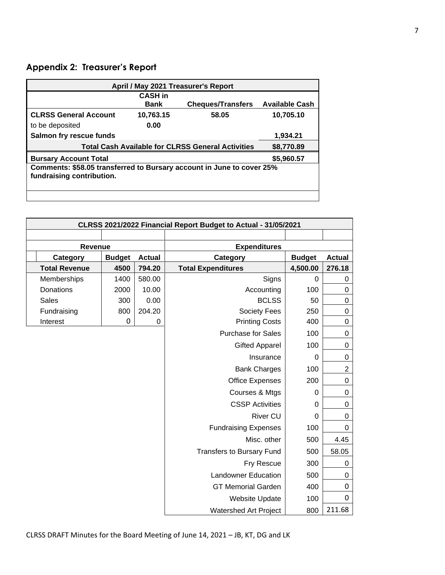### **Appendix 2: Treasurer's Report**

L.

| April / May 2021 Treasurer's Report                                   |                |                          |                       |  |
|-----------------------------------------------------------------------|----------------|--------------------------|-----------------------|--|
|                                                                       | <b>CASH</b> in |                          |                       |  |
|                                                                       | <b>Bank</b>    | <b>Cheques/Transfers</b> | <b>Available Cash</b> |  |
| <b>CLRSS General Account</b>                                          | 10,763.15      | 58.05                    |                       |  |
| to be deposited                                                       | 0.00           |                          |                       |  |
| Salmon fry rescue funds                                               |                |                          | 1,934.21              |  |
| <b>Total Cash Available for CLRSS General Activities</b>              | \$8,770.89     |                          |                       |  |
| <b>Bursary Account Total</b>                                          |                |                          | \$5,960.57            |  |
| Comments: \$58.05 transferred to Bursary account in June to cover 25% |                |                          |                       |  |
| fundraising contribution.                                             |                |                          |                       |  |
|                                                                       |                |                          |                       |  |
|                                                                       |                |                          |                       |  |

| CLRSS 2021/2022 Financial Report Budget to Actual - 31/05/2021 |                |               |                                  |               |                |
|----------------------------------------------------------------|----------------|---------------|----------------------------------|---------------|----------------|
|                                                                |                |               |                                  |               |                |
|                                                                | <b>Revenue</b> |               | <b>Expenditures</b>              |               |                |
| Category                                                       | <b>Budget</b>  | <b>Actual</b> | Category                         | <b>Budget</b> | <b>Actual</b>  |
| <b>Total Revenue</b>                                           | 4500           | 794.20        | <b>Total Expenditures</b>        | 4,500.00      | 276.18         |
| Memberships                                                    | 1400           | 580.00        | Signs                            | $\Omega$      | 0              |
| Donations                                                      | 2000           | 10.00         | Accounting                       | 100           | 0              |
| <b>Sales</b>                                                   | 300            | 0.00          | <b>BCLSS</b>                     | 50            | 0              |
| Fundraising                                                    | 800            | 204.20        | <b>Society Fees</b>              | 250           | 0              |
| Interest                                                       | 0              | 0             | <b>Printing Costs</b>            | 400           | $\mathbf 0$    |
|                                                                |                |               | <b>Purchase for Sales</b>        | 100           | 0              |
|                                                                |                |               | <b>Gifted Apparel</b>            | 100           | 0              |
|                                                                |                |               | Insurance                        | $\Omega$      | 0              |
|                                                                |                |               | <b>Bank Charges</b>              | 100           | $\overline{c}$ |
|                                                                |                |               | <b>Office Expenses</b>           | 200           | 0              |
|                                                                |                |               | Courses & Mtgs                   | 0             | $\mathbf 0$    |
|                                                                |                |               | <b>CSSP Activities</b>           | 0             | 0              |
|                                                                |                |               | <b>River CU</b>                  | $\mathbf 0$   | 0              |
|                                                                |                |               | <b>Fundraising Expenses</b>      | 100           | 0              |
|                                                                |                |               | Misc. other                      | 500           | 4.45           |
|                                                                |                |               | <b>Transfers to Bursary Fund</b> | 500           | 58.05          |
|                                                                |                |               | Fry Rescue                       | 300           | 0              |
|                                                                |                |               | <b>Landowner Education</b>       | 500           | 0              |
|                                                                |                |               | <b>GT Memorial Garden</b>        | 400           | 0              |
|                                                                |                |               | <b>Website Update</b>            | 100           | 0              |
|                                                                |                |               | <b>Watershed Art Project</b>     | 800           | 211.68         |

 $\mathcal{L}$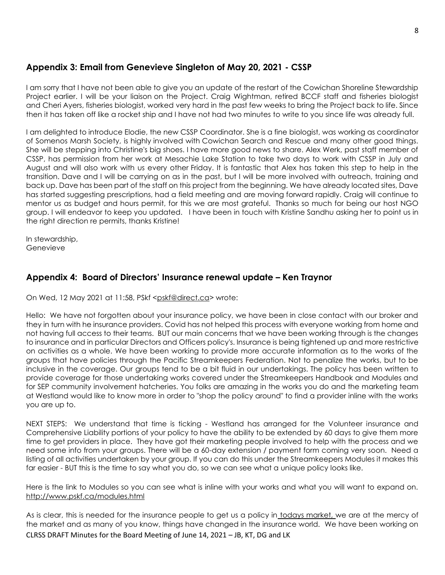### **Appendix 3: Email from Genevieve Singleton of May 20, 2021 - CSSP**

I am sorry that I have not been able to give you an update of the restart of the Cowichan Shoreline Stewardship Project earlier. I will be your liaison on the Project. Craig Wightman, retired BCCF staff and fisheries biologist and Cheri Ayers, fisheries biologist, worked very hard in the past few weeks to bring the Project back to life. Since then it has taken off like a rocket ship and I have not had two minutes to write to you since life was already full.

I am delighted to introduce Elodie, the new CSSP Coordinator. She is a fine biologist, was working as coordinator of Somenos Marsh Society, is highly involved with Cowichan Search and Rescue and many other good things. She will be stepping into Christine's big shoes. I have more good news to share. Alex Werk, past staff member of CSSP, has permission from her work at Mesachie Lake Station to take two days to work with CSSP in July and August and will also work with us every other Friday. It is fantastic that Alex has taken this step to help in the transition. Dave and I will be carrying on as in the past, but I will be more involved with outreach, training and back up. Dave has been part of the staff on this project from the beginning. We have already located sites, Dave has started suggesting prescriptions, had a field meeting and are moving forward rapidly. Craig will continue to mentor us as budget and hours permit, for this we are most grateful. Thanks so much for being our host NGO group. I will endeavor to keep you updated. I have been in touch with Kristine Sandhu asking her to point us in the right direction re permits, thanks Kristine!

In stewardship, Genevieve

### **Appendix 4: Board of Directors' Insurance renewal update – Ken Traynor**

On Wed, 12 May 2021 at 11:58, PSkf [<pskf@direct.ca>](mailto:pskf@direct.ca) wrote:

Hello: We have not forgotten about your insurance policy, we have been in close contact with our broker and they in turn with he insurance providers. Covid has not helped this process with everyone working from home and not having full access to their teams. BUT our main concerns that we have been working through is the changes to insurance and in particular Directors and Officers policy's. Insurance is being tightened up and more restrictive on activities as a whole. We have been working to provide more accurate information as to the works of the groups that have policies through the Pacific Streamkeepers Federation. Not to penalize the works, but to be inclusive in the coverage. Our groups tend to be a bit fluid in our undertakings. The policy has been written to provide coverage for those undertaking works covered under the Streamkeepers Handbook and Modules and for SEP community involvement hatcheries. You folks are amazing in the works you do and the marketing team at Westland would like to know more in order to "shop the policy around" to find a provider inline with the works you are up to.

NEXT STEPS: We understand that time is ticking - Westland has arranged for the Volunteer insurance and Comprehensive Liability portions of your policy to have the ability to be extended by 60 days to give them more time to get providers in place. They have got their marketing people involved to help with the process and we need some info from your groups. There will be a 60-day extension / payment form coming very soon. Need a listing of all activities undertaken by your group. If you can do this under the Streamkeepers Modules it makes this far easier - BUT this is the time to say what you do, so we can see what a unique policy looks like.

Here is the link to Modules so you can see what is inline with your works and what you will want to expand on. <http://www.pskf.ca/modules.html>

CLRSS DRAFT Minutes for the Board Meeting of June 14, 2021 – JB, KT, DG and LK As is clear, this is needed for the insurance people to get us a policy in todays market, we are at the mercy of the market and as many of you know, things have changed in the insurance world. We have been working on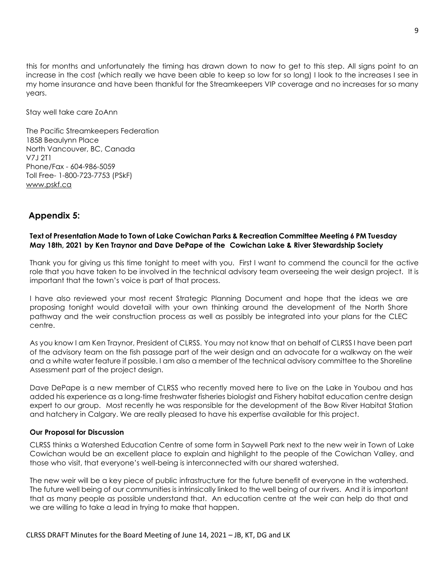this for months and unfortunately the timing has drawn down to now to get to this step. All signs point to an increase in the cost (which really we have been able to keep so low for so long) I look to the increases I see in my home insurance and have been thankful for the Streamkeepers VIP coverage and no increases for so many years.

Stay well take care ZoAnn

The Pacific Streamkeepers Federation 1858 Beaulynn Place North Vancouver, BC, Canada V7J 2T1 Phone/Fax - 604-986-5059 Toll Free- 1-800-723-7753 (PSkF) [www.pskf.ca](http://www.pskf.ca/)

### **Appendix 5:**

#### **Text of Presentation Made to Town of Lake Cowichan Parks & Recreation Committee Meeting 6 PM Tuesday May 18th, 2021 by Ken Traynor and Dave DePape of the Cowichan Lake & River Stewardship Society**

Thank you for giving us this time tonight to meet with you. First I want to commend the council for the active role that you have taken to be involved in the technical advisory team overseeing the weir design project. It is important that the town's voice is part of that process.

I have also reviewed your most recent Strategic Planning Document and hope that the ideas we are proposing tonight would dovetail with your own thinking around the development of the North Shore pathway and the weir construction process as well as possibly be integrated into your plans for the CLEC centre.

As you know I am Ken Traynor, President of CLRSS. You may not know that on behalf of CLRSS I have been part of the advisory team on the fish passage part of the weir design and an advocate for a walkway on the weir and a white water feature if possible. I am also a member of the technical advisory committee to the Shoreline Assessment part of the project design.

Dave DePape is a new member of CLRSS who recently moved here to live on the Lake in Youbou and has added his experience as a long-time freshwater fisheries biologist and Fishery habitat education centre design expert to our group. Most recently he was responsible for the development of the Bow River Habitat Station and hatchery in Calgary. We are really pleased to have his expertise available for this project.

#### **Our Proposal for Discussion**

CLRSS thinks a Watershed Education Centre of some form in Saywell Park next to the new weir in Town of Lake Cowichan would be an excellent place to explain and highlight to the people of the Cowichan Valley, and those who visit, that everyone's well-being is interconnected with our shared watershed.

The new weir will be a key piece of public infrastructure for the future benefit of everyone in the watershed. The future well being of our communities is intrinsically linked to the well being of our rivers. And it is important that as many people as possible understand that. An education centre at the weir can help do that and we are willing to take a lead in trying to make that happen.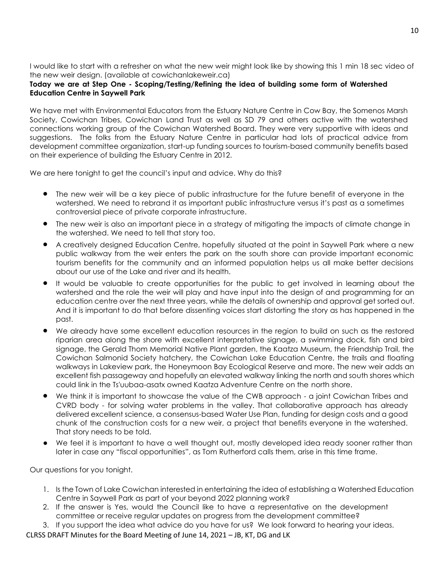I would like to start with a refresher on what the new weir might look like by showing this 1 min 18 sec video of the new weir design. (available at cowichanlakeweir.ca)

#### **Today we are at Step One - Scoping/Testing/Refining the idea of building some form of Watershed Education Centre in Saywell Park**

We have met with Environmental Educators from the Estuary Nature Centre in Cow Bay, the Somenos Marsh Society, Cowichan Tribes, Cowichan Land Trust as well as SD 79 and others active with the watershed connections working group of the Cowichan Watershed Board. They were very supportive with ideas and suggestions. The folks from the Estuary Nature Centre in particular had lots of practical advice from development committee organization, start-up funding sources to tourism-based community benefits based on their experience of building the Estuary Centre in 2012.

We are here tonight to get the council's input and advice. Why do this?

- The new weir will be a key piece of public infrastructure for the future benefit of everyone in the watershed. We need to rebrand it as important public infrastructure versus it's past as a sometimes controversial piece of private corporate infrastructure.
- The new weir is also an important piece in a strategy of mitigating the impacts of climate change in the watershed. We need to tell that story too.
- A creatively designed Education Centre, hopefully situated at the point in Saywell Park where a new public walkway from the weir enters the park on the south shore can provide important economic tourism benefits for the community and an informed population helps us all make better decisions about our use of the Lake and river and its health.
- It would be valuable to create opportunities for the public to get involved in learning about the watershed and the role the weir will play and have input into the design of and programming for an education centre over the next three years, while the details of ownership and approval get sorted out. And it is important to do that before dissenting voices start distorting the story as has happened in the past.
- We already have some excellent education resources in the region to build on such as the restored riparian area along the shore with excellent interpretative signage, a swimming dock, fish and bird signage, the Gerald Thom Memorial Native Plant garden, the Kaatza Museum, the Friendship Trail, the Cowichan Salmonid Society hatchery, the Cowichan Lake Education Centre, the trails and floating walkways in Lakeview park, the Honeymoon Bay Ecological Reserve and more. The new weir adds an excellent fish passageway and hopefully an elevated walkway linking the north and south shores which could link in the Ts'uubaa-asatx owned Kaatza Adventure Centre on the north shore.
- We think it is important to showcase the value of the CWB approach a joint Cowichan Tribes and CVRD body - for solving water problems in the valley. That collaborative approach has already delivered excellent science, a consensus-based Water Use Plan, funding for design costs and a good chunk of the construction costs for a new weir, a project that benefits everyone in the watershed. That story needs to be told.
- We feel it is important to have a well thought out, mostly developed idea ready sooner rather than later in case any "fiscal opportunities", as Tom Rutherford calls them, arise in this time frame.

Our questions for you tonight.

- 1. Is the Town of Lake Cowichan interested in entertaining the idea of establishing a Watershed Education Centre in Saywell Park as part of your beyond 2022 planning work?
- 2. If the answer is Yes, would the Council like to have a representative on the development committee or receive regular updates on progress from the development committee?
- 3. If you support the idea what advice do you have for us? We look forward to hearing your ideas.

CLRSS DRAFT Minutes for the Board Meeting of June 14, 2021 – JB, KT, DG and LK